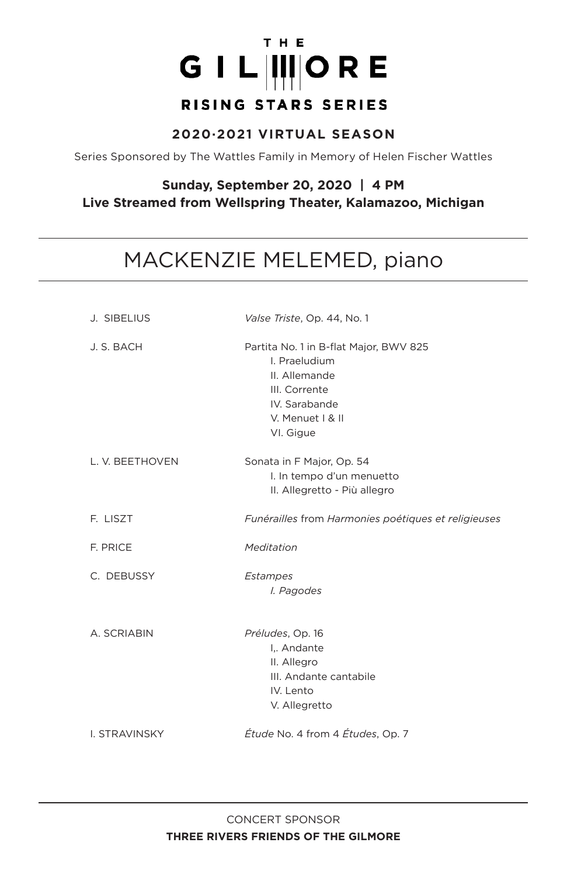# THE GIL IIIORE RISING STARS SERIES

#### **2020·2021 VIRTUAL SEASON**

Series Sponsored by The Wattles Family in Memory of Helen Fischer Wattles

#### **Sunday, September 20, 2020 | 4 PM Live Streamed from Wellspring Theater, Kalamazoo, Michigan**

# MACKENZIE MELEMED, piano

| J. SIBELIUS     | Valse Triste, Op. 44, No. 1                                                                                                                 |
|-----------------|---------------------------------------------------------------------------------------------------------------------------------------------|
| J. S. BACH      | Partita No. 1 in B-flat Major, BWV 825<br>I. Praeludium<br>II. Allemande<br>III. Corrente<br>IV. Sarabande<br>V. Menuet   & II<br>VI. Gigue |
| L. V. BEETHOVEN | Sonata in F Major, Op. 54<br>I. In tempo d'un menuetto<br>II. Allegretto - Più allegro                                                      |
| F. LISZT        | Funérailles from Harmonies poétiques et religieuses                                                                                         |
| F. PRICE        | Meditation                                                                                                                                  |
| C. DEBUSSY      | Estampes<br>I. Pagodes                                                                                                                      |
| A. SCRIABIN     | Préludes, Op. 16<br>I Andante<br>II. Allegro<br>III. Andante cantabile<br>IV. Lento<br>V. Allegretto                                        |
| I. STRAVINSKY   | Étude No. 4 from 4 Études, Op. 7                                                                                                            |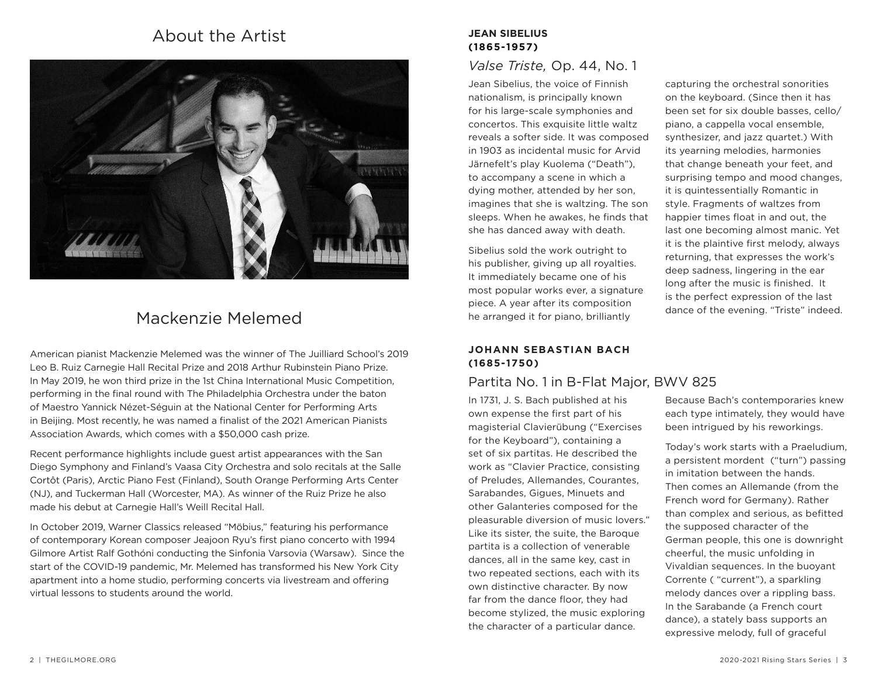# About the Artist *About* the Artist *JEAN SIBELIUS*



# Mackenzie Melemed

American pianist Mackenzie Melemed was the winner of The Juilliard School's 2019 Leo B. Ruiz Carnegie Hall Recital Prize and 2018 Arthur Rubinstein Piano Prize. In May 2019, he won third prize in the 1st China International Music Competition, performing in the final round with The Philadelphia Orchestra under the baton of Maestro Yannick Nézet-Séguin at the National Center for Performing Arts in Beijing. Most recently, he was named a finalist of the 2021 American Pianists Association Awards, which comes with a \$50,000 cash prize.

Recent performance highlights include guest artist appearances with the San Diego Symphony and Finland's Vaasa City Orchestra and solo recitals at the Salle Cortôt (Paris), Arctic Piano Fest (Finland), South Orange Performing Arts Center (NJ), and Tuckerman Hall (Worcester, MA). As winner of the Ruiz Prize he also made his debut at Carnegie Hall's Weill Recital Hall.

In October 2019, Warner Classics released "Möbius," featuring his performance of contemporary Korean composer Jeajoon Ryu's first piano concerto with 1994 Gilmore Artist Ralf Gothóni conducting the Sinfonia Varsovia (Warsaw). Since the start of the COVID-19 pandemic, Mr. Melemed has transformed his New York City apartment into a home studio, performing concerts via livestream and offering virtual lessons to students around the world.

# **(1865-1957)**

## *Valse Triste,* Op. 44, No. 1

Jean Sibelius, the voice of Finnish nationalism, is principally known for his large-scale symphonies and concertos. This exquisite little waltz reveals a softer side. It was composed in 1903 as incidental music for Arvid Järnefelt's play Kuolema ("Death"), to accompany a scene in which a dying mother, attended by her son, imagines that she is waltzing. The son sleeps. When he awakes, he finds that she has danced away with death.

Sibelius sold the work outright to his publisher, giving up all royalties. It immediately became one of his most popular works ever, a signature piece. A year after its composition he arranged it for piano, brilliantly

capturing the orchestral sonorities on the keyboard. (Since then it has been set for six double basses, cello/ piano, a cappella vocal ensemble, synthesizer, and jazz quartet.) With its yearning melodies, harmonies that change beneath your feet, and surprising tempo and mood changes, it is quintessentially Romantic in style. Fragments of waltzes from happier times float in and out, the last one becoming almost manic. Yet it is the plaintive first melody, always returning, that expresses the work's deep sadness, lingering in the ear long after the music is finished. It is the perfect expression of the last dance of the evening. "Triste" indeed.

#### **JOHANN SEBASTIAN BACH (1685-1750)**

## Partita No. 1 in B-Flat Major, BWV 825

In 1731, J. S. Bach published at his own expense the first part of his magisterial Clavierübung ("Exercises for the Keyboard"), containing a set of six partitas. He described the work as "Clavier Practice, consisting of Preludes, Allemandes, Courantes, Sarabandes, Gigues, Minuets and other Galanteries composed for the pleasurable diversion of music lovers." Like its sister, the suite, the Baroque partita is a collection of venerable dances, all in the same key, cast in two repeated sections, each with its own distinctive character. By now far from the dance floor, they had become stylized, the music exploring the character of a particular dance.

Because Bach's contemporaries knew each type intimately, they would have been intrigued by his reworkings.

Today's work starts with a Praeludium, a persistent mordent ("turn") passing in imitation between the hands. Then comes an Allemande (from the French word for Germany). Rather than complex and serious, as befitted the supposed character of the German people, this one is downright cheerful, the music unfolding in Vivaldian sequences. In the buoyant Corrente ( "current"), a sparkling melody dances over a rippling bass. In the Sarabande (a French court dance), a stately bass supports an expressive melody, full of graceful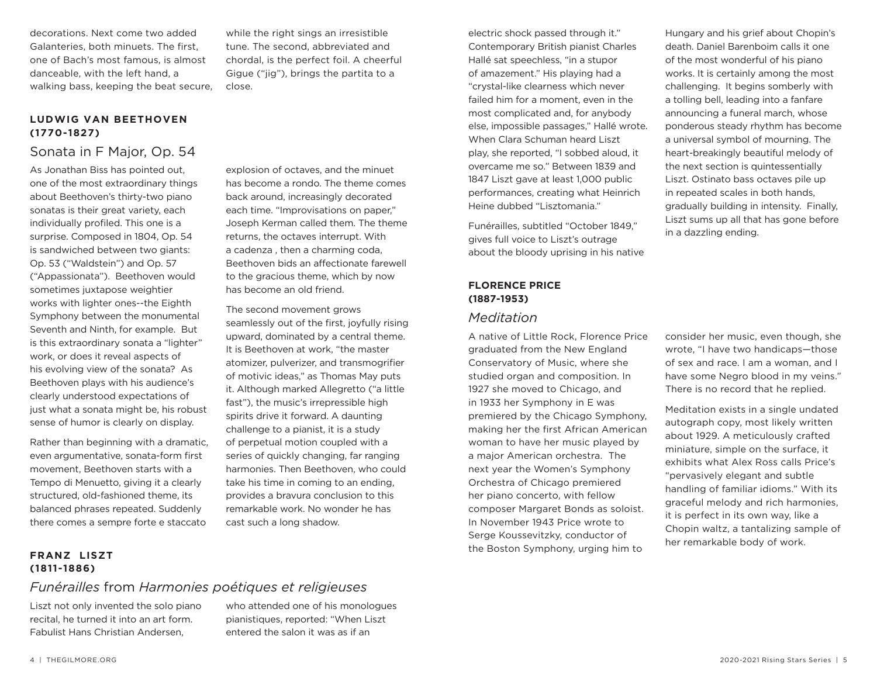decorations. Next come two added Galanteries, both minuets. The first, one of Bach's most famous, is almost danceable, with the left hand, a walking bass, keeping the beat secure,

#### **LUDWIG VAN BEETHOVEN (1770-1827)**

#### Sonata in F Major, Op. 54

As Jonathan Biss has pointed out, one of the most extraordinary things about Beethoven's thirty-two piano sonatas is their great variety, each individually profiled. This one is a surprise. Composed in 1804, Op. 54 is sandwiched between two giants: Op. 53 ("Waldstein") and Op. 57 ("Appassionata"). Beethoven would sometimes juxtapose weightier works with lighter ones--the Eighth Symphony between the monumental Seventh and Ninth, for example. But is this extraordinary sonata a "lighter" work, or does it reveal aspects of his evolving view of the sonata? As Beethoven plays with his audience's clearly understood expectations of just what a sonata might be, his robust sense of humor is clearly on display.

Rather than beginning with a dramatic, even argumentative, sonata-form first movement, Beethoven starts with a Tempo di Menuetto, giving it a clearly structured, old-fashioned theme, its balanced phrases repeated. Suddenly there comes a sempre forte e staccato

while the right sings an irresistible tune. The second, abbreviated and chordal, is the perfect foil. A cheerful Gigue ("jig"), brings the partita to a close.

explosion of octaves, and the minuet has become a rondo. The theme comes back around, increasingly decorated each time. "Improvisations on paper," Joseph Kerman called them. The theme returns, the octaves interrupt. With a cadenza , then a charming coda, Beethoven bids an affectionate farewell to the gracious theme, which by now has become an old friend.

The second movement grows seamlessly out of the first, joyfully rising upward, dominated by a central theme. It is Beethoven at work, "the master atomizer, pulverizer, and transmogrifier of motivic ideas," as Thomas May puts it. Although marked Allegretto ("a little fast"), the music's irrepressible high spirits drive it forward. A daunting challenge to a pianist, it is a study of perpetual motion coupled with a series of quickly changing, far ranging harmonies. Then Beethoven, who could take his time in coming to an ending, provides a bravura conclusion to this remarkable work. No wonder he has cast such a long shadow.

electric shock passed through it." Contemporary British pianist Charles Hallé sat speechless, "in a stupor of amazement." His playing had a "crystal-like clearness which never failed him for a moment, even in the most complicated and, for anybody else, impossible passages," Hallé wrote. When Clara Schuman heard Liszt play, she reported, "I sobbed aloud, it overcame me so." Between 1839 and 1847 Liszt gave at least 1,000 public performances, creating what Heinrich Heine dubbed "Lisztomania."

Funérailles, subtitled "October 1849," gives full voice to Liszt's outrage about the bloody uprising in his native

#### **FLORENCE PRICE (1887-1953)**

#### *Meditation*

A native of Little Rock, Florence Price graduated from the New England Conservatory of Music, where she studied organ and composition. In 1927 she moved to Chicago, and in 1933 her Symphony in E was premiered by the Chicago Symphony, making her the first African American woman to have her music played by a major American orchestra. The next year the Women's Symphony Orchestra of Chicago premiered her piano concerto, with fellow composer Margaret Bonds as soloist. In November 1943 Price wrote to Serge Koussevitzky, conductor of the Boston Symphony, urging him to

Hungary and his grief about Chopin's death. Daniel Barenboim calls it one of the most wonderful of his piano works. It is certainly among the most challenging. It begins somberly with a tolling bell, leading into a fanfare announcing a funeral march, whose ponderous steady rhythm has become a universal symbol of mourning. The heart-breakingly beautiful melody of the next section is quintessentially Liszt. Ostinato bass octaves pile up in repeated scales in both hands, gradually building in intensity. Finally, Liszt sums up all that has gone before in a dazzling ending.

consider her music, even though, she wrote, "I have two handicaps—those of sex and race. I am a woman, and I have some Negro blood in my veins." There is no record that he replied.

Meditation exists in a single undated autograph copy, most likely written about 1929. A meticulously crafted miniature, simple on the surface, it exhibits what Alex Ross calls Price's "pervasively elegant and subtle handling of familiar idioms." With its graceful melody and rich harmonies, it is perfect in its own way, like a Chopin waltz, a tantalizing sample of her remarkable body of work.

#### **FRANZ LISZT (1811-1886)**

# *Funérailles* from *Harmonies poétiques et religieuses*

Liszt not only invented the solo piano recital, he turned it into an art form. Fabulist Hans Christian Andersen,

who attended one of his monologues pianistiques, reported: "When Liszt entered the salon it was as if an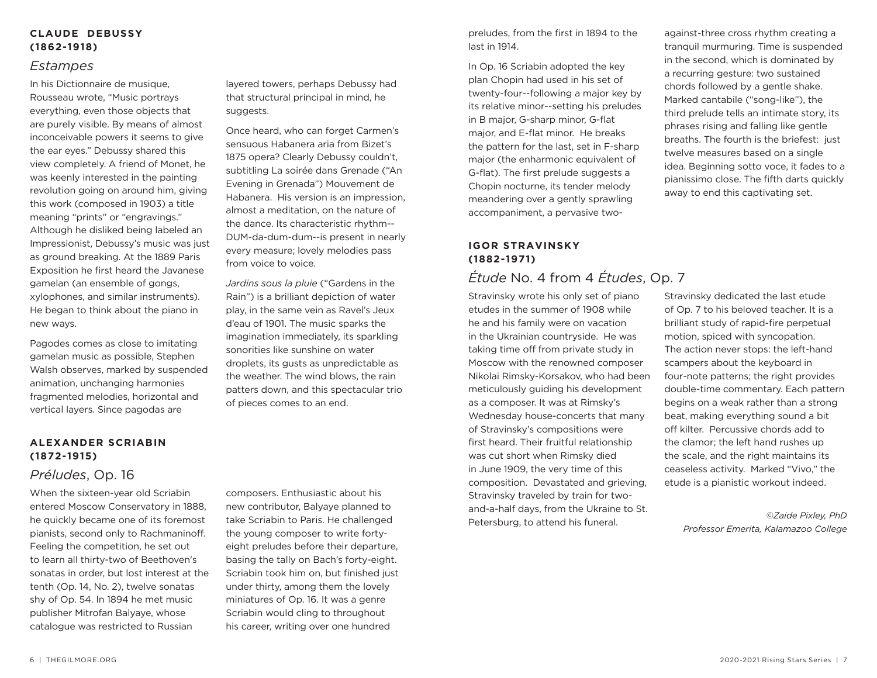#### **CLAUDE DEBUSSY (1862-1918)**

#### *Estampes*

In his Dictionnaire de musique, Rousseau wrote, "Music portrays everything, even those objects that are purely visible. By means of almost inconceivable powers it seems to give the ear eyes." Debussy shared this view completely. A friend of Monet, he was keenly interested in the painting revolution going on around him, giving this work (composed in 1903) a title meaning "prints" or "engravings." Although he disliked being labeled an Impressionist, Debussy's music was just as ground breaking. At the 1889 Paris Exposition he first heard the Javanese gamelan (an ensemble of gongs, xylophones, and similar instruments). He began to think about the piano in new ways.

Pagodes comes as close to imitating gamelan music as possible, Stephen Walsh observes, marked by suspended animation, unchanging harmonies fragmented melodies, horizontal and vertical layers. Since pagodas are

#### **ALEXANDER SCRIABIN (1872-1915)**

### *Préludes*, Op. 16

When the sixteen-year old Scriabin entered Moscow Conservatory in 1888, he quickly became one of its foremost pianists, second only to Rachmaninoff. Feeling the competition, he set out to learn all thirty-two of Beethoven's sonatas in order, but lost interest at the tenth (Op. 14, No. 2), twelve sonatas shy of Op. 54. In 1894 he met music publisher Mitrofan Balyaye, whose catalogue was restricted to Russian

layered towers, perhaps Debussy had that structural principal in mind, he suggests.

Once heard, who can forget Carmen's sensuous Habanera aria from Bizet's 1875 opera? Clearly Debussy couldn't, subtitling La soirée dans Grenade ("An Evening in Grenada") Mouvement de Habanera. His version is an impression, almost a meditation, on the nature of the dance. Its characteristic rhythm-- DUM-da-dum-dum--is present in nearly every measure; lovely melodies pass from voice to voice.

*Jardins sous la pluie* ("Gardens in the Rain") is a brilliant depiction of water play, in the same vein as Ravel's Jeux d'eau of 1901. The music sparks the imagination immediately, its sparkling sonorities like sunshine on water droplets, its gusts as unpredictable as the weather. The wind blows, the rain patters down, and this spectacular trio of pieces comes to an end.

composers. Enthusiastic about his new contributor, Balyaye planned to take Scriabin to Paris. He challenged the young composer to write fortyeight preludes before their departure, basing the tally on Bach's forty-eight. Scriabin took him on, but finished just under thirty, among them the lovely miniatures of Op. 16. It was a genre Scriabin would cling to throughout his career, writing over one hundred

preludes, from the first in 1894 to the last in 1914.

In Op. 16 Scriabin adopted the key plan Chopin had used in his set of twenty-four--following a major key by its relative minor--setting his preludes in B major, G-sharp minor, G-flat major, and E-flat minor. He breaks the pattern for the last, set in F-sharp major (the enharmonic equivalent of G-flat). The first prelude suggests a Chopin nocturne, its tender melody meandering over a gently sprawling accompaniment, a pervasive two-

#### **IGOR STRAVINSKY (1882-1971)**

# *Étude* No. 4 from 4 *Études*, Op. 7

Stravinsky wrote his only set of piano etudes in the summer of 1908 while he and his family were on vacation in the Ukrainian countryside. He was taking time off from private study in Moscow with the renowned composer Nikolai Rimsky-Korsakov, who had been meticulously guiding his development as a composer. It was at Rimsky's Wednesday house-concerts that many of Stravinsky's compositions were first heard. Their fruitful relationship was cut short when Rimsky died in June 1909, the very time of this composition. Devastated and grieving, Stravinsky traveled by train for twoand-a-half days, from the Ukraine to St. Petersburg, to attend his funeral.

against-three cross rhythm creating a tranquil murmuring. Time is suspended in the second, which is dominated by a recurring gesture: two sustained chords followed by a gentle shake. Marked cantabile ("song-like"), the third prelude tells an intimate story, its phrases rising and falling like gentle breaths. The fourth is the briefest: just twelve measures based on a single idea. Beginning sotto voce, it fades to a pianissimo close. The fifth darts quickly away to end this captivating set.

Stravinsky dedicated the last etude of Op. 7 to his beloved teacher. It is a brilliant study of rapid-fire perpetual motion, spiced with syncopation. The action never stops: the left-hand scampers about the keyboard in four-note patterns; the right provides double-time commentary. Each pattern begins on a weak rather than a strong beat, making everything sound a bit off kilter. Percussive chords add to the clamor; the left hand rushes up the scale, and the right maintains its ceaseless activity. Marked "Vivo," the etude is a pianistic workout indeed.

> *©Zaide Pixley, PhD Professor Emerita, Kalamazoo College*